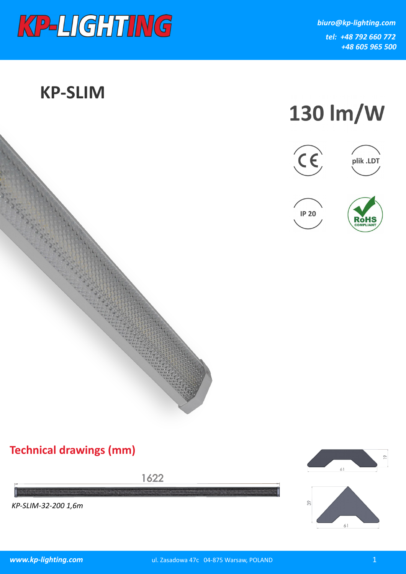

## **KP-SLIM**











## **Technical drawings (mm)**

1622

*KP-SLIM-32-200 1,6m*

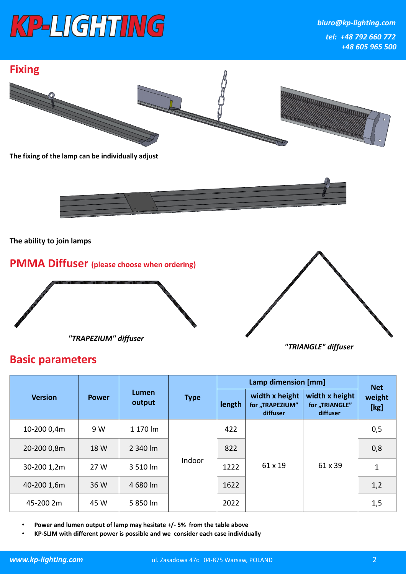

*biuro@kp-lighting.com tel: +48 792 660 772 +48 605 965 500*



| <b>Version</b> | <b>Power</b> | Lumen<br>output | <b>Type</b> | Lamp dimension [mm] |                                               |                                              | <b>Net</b>     |
|----------------|--------------|-----------------|-------------|---------------------|-----------------------------------------------|----------------------------------------------|----------------|
|                |              |                 |             | length              | width x height<br>for "TRAPEZIUM"<br>diffuser | width x height<br>for "TRIANGLE"<br>diffuser | weight<br>[kg] |
| 10-200 0,4m    | 9 W          | 1 170 lm        | Indoor      | 422                 | 61 x 19                                       | 61 x 39                                      | 0,5            |
| 20-200 0,8m    | 18 W         | 2 340 lm        |             | 822                 |                                               |                                              | 0,8            |
| 30-200 1,2m    | 27 W         | 3 510 lm        |             | 1222                |                                               |                                              | 1              |
| 40-200 1,6m    | 36 W         | 4 680 lm        |             | 1622                |                                               |                                              | 1,2            |
| 45-200 2m      | 45 W         | 5 850 lm        |             | 2022                |                                               |                                              | 1,5            |

• **Power and lumen output of lamp may hesitate +/- 5% from the table above**

• **KP-SLIM with different power is possible and we consider each case individually**